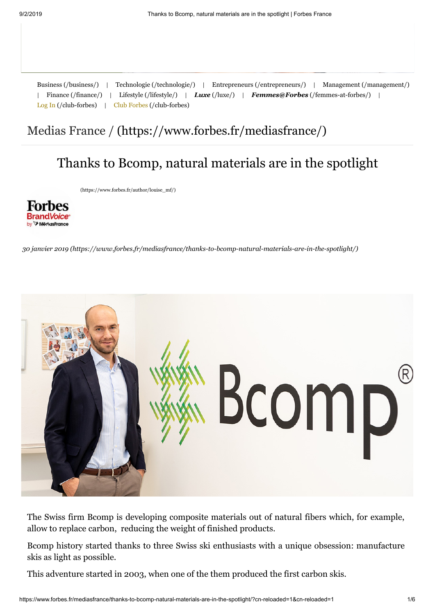| Business (/business/) | Management (/management/)<br>Technologie (/technologie/)<br>Entrepreneurs (/entrepreneurs/)                                                                                                                                                                                                                                                                                   |
|-----------------------|-------------------------------------------------------------------------------------------------------------------------------------------------------------------------------------------------------------------------------------------------------------------------------------------------------------------------------------------------------------------------------|
| Finance (/finance/)   | Lifestyle (/lifestyle/) $\qquad$ $\qquad$ $\qquad$ $\qquad$ $\qquad$ $\qquad$ $\qquad$ $\qquad$ $\qquad$ $\qquad$ $\qquad$ $\qquad$ $\qquad$ $\qquad$ $\qquad$ $\qquad$ $\qquad$ $\qquad$ $\qquad$ $\qquad$ $\qquad$ $\qquad$ $\qquad$ $\qquad$ $\qquad$ $\qquad$ $\qquad$ $\qquad$ $\qquad$ $\qquad$ $\qquad$ $\qquad$ $\qquad$<br><b>Femmes@Forbes</b> (/femmes-at-forbes/) |
|                       | $\text{Log In}$ (/club-forbes) $\parallel$ Club Forbes (/club-forbes)                                                                                                                                                                                                                                                                                                         |

## [Medias France / \(https://www.forbes.fr/mediasfrance/\)](https://www.forbes.fr/mediasfrance/)

## Thanks to Bcomp, natural materials are in the spotlight

[\(https://www.forbes.fr/author/louise\\_mf/\)](https://www.forbes.fr/author/louise_mf/)



*[30 janvier 2019 \(https://www.forbes.fr/mediasfrance/thanks-to-bcomp-natural-materials-are-in-the-spotlight/\)](https://www.forbes.fr/mediasfrance/thanks-to-bcomp-natural-materials-are-in-the-spotlight/)*



The Swiss firm Bcomp is developing composite materials out of natural fibers which, for example, allow to replace carbon, reducing the weight of finished products.

Bcomp history started thanks to three Swiss ski enthusiasts with a unique obsession: manufacture skis as light as possible.

This adventure started in 2003, when one of the them produced the first carbon skis.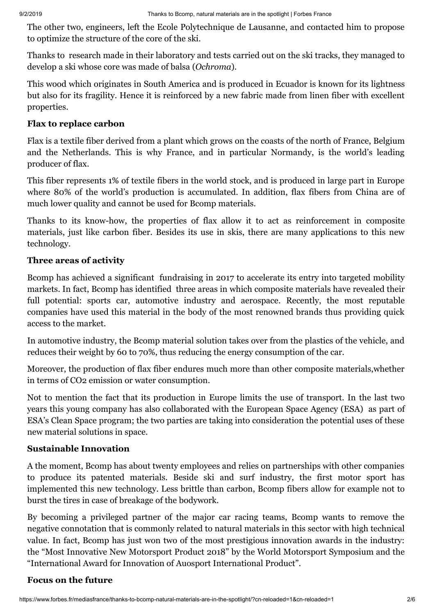The other two, engineers, left the Ecole Polytechnique de Lausanne, and contacted him to propose to optimize the structure of the core of the ski.

Thanks to research made in their laboratory and tests carried out on the ski tracks, they managed to develop a ski whose core was made of balsa (*Ochroma*).

This wood which originates in South America and is produced in Ecuador is known for its lightness but also for its fragility. Hence it is reinforced by a new fabric made from linen fiber with excellent properties.

#### **Flax to replace carbon**

Flax is a textile fiber derived from a plant which grows on the coasts of the north of France, Belgium and the Netherlands. This is why France, and in particular Normandy, is the world's leading producer of flax.

This fiber represents 1% of textile fibers in the world stock, and is produced in large part in Europe where 80% of the world's production is accumulated. In addition, flax fibers from China are of much lower quality and cannot be used for Bcomp materials.

Thanks to its know-how, the properties of flax allow it to act as reinforcement in composite materials, just like carbon fiber. Besides its use in skis, there are many applications to this new technology.

#### **Three areas of activity**

Bcomp has achieved a significant fundraising in 2017 to accelerate its entry into targeted mobility markets. In fact, Bcomp has identified three areas in which composite materials have revealed their full potential: sports car, automotive industry and aerospace. Recently, the most reputable companies have used this material in the body of the most renowned brands thus providing quick access to the market.

In automotive industry, the Bcomp material solution takes over from the plastics of the vehicle, and reduces their weight by 60 to 70%, thus reducing the energy consumption of the car.

Moreover, the production of flax fiber endures much more than other composite materials,whether in terms of CO2 emission or water consumption.

Not to mention the fact that its production in Europe limits the use of transport. In the last two years this young company has also collaborated with the European Space Agency (ESA) as part of ESA's Clean Space program; the two parties are taking into consideration the potential uses of these new material solutions in space.

#### **Sustainable Innovation**

A the moment, Bcomp has about twenty employees and relies on partnerships with other companies to produce its patented materials. Beside ski and surf industry, the first motor sport has implemented this new technology. Less brittle than carbon, Bcomp fibers allow for example not to burst the tires in case of breakage of the bodywork.

By becoming a privileged partner of the major car racing teams, Bcomp wants to remove the negative connotation that is commonly related to natural materials in this sector with high technical value. In fact, Bcomp has just won two of the most prestigious innovation awards in the industry: the "Most Innovative New Motorsport Product 2018" by the World Motorsport Symposium and the "International Award for Innovation of Auosport International Product".

#### **Focus on the future**